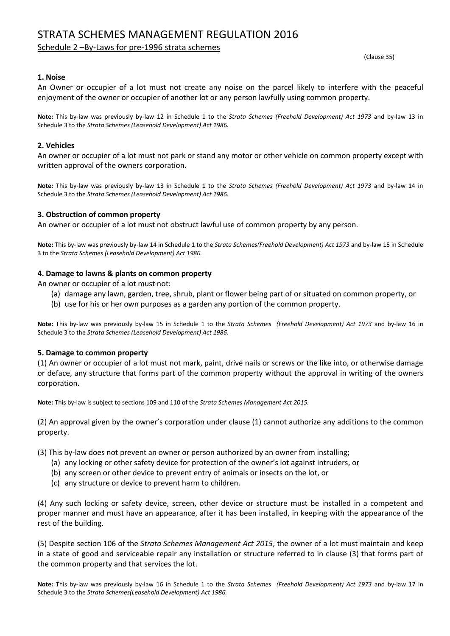# STRATA SCHEMES MANAGEMENT REGULATION 2016

# Schedule 2 –By-Laws for pre-1996 strata schemes

(Clause 35)

# **1. Noise**

An Owner or occupier of a lot must not create any noise on the parcel likely to interfere with the peaceful enjoyment of the owner or occupier of another lot or any person lawfully using common property.

**Note:** This by-law was previously by-law 12 in Schedule 1 to the *Strata Schemes (Freehold Development) Act 1973* and by-law 13 in Schedule 3 to the *Strata Schemes (Leasehold Development) Act 1986.*

# **2. Vehicles**

An owner or occupier of a lot must not park or stand any motor or other vehicle on common property except with written approval of the owners corporation.

**Note:** This by-law was previously by-law 13 in Schedule 1 to the *Strata Schemes (Freehold Development) Act 1973* and by-law 14 in Schedule 3 to the *Strata Schemes (Leasehold Development) Act 1986.*

## **3. Obstruction of common property**

An owner or occupier of a lot must not obstruct lawful use of common property by any person.

**Note:** This by-law was previously by-law 14 in Schedule 1 to the *Strata Schemes(Freehold Development) Act 1973* and by-law 15 in Schedule 3 to the *Strata Schemes (Leasehold Development) Act 1986.*

## **4. Damage to lawns & plants on common property**

An owner or occupier of a lot must not:

- (a) damage any lawn, garden, tree, shrub, plant or flower being part of or situated on common property, or
- (b) use for his or her own purposes as a garden any portion of the common property.

**Note:** This by-law was previously by-law 15 in Schedule 1 to the *Strata Schemes (Freehold Development) Act 1973* and by-law 16 in Schedule 3 to the *Strata Schemes (Leasehold Development) Act 1986.*

# **5. Damage to common property**

(1) An owner or occupier of a lot must not mark, paint, drive nails or screws or the like into, or otherwise damage or deface, any structure that forms part of the common property without the approval in writing of the owners corporation.

**Note:** This by-law is subject to sections 109 and 110 of the *Strata Schemes Management Act 2015.*

(2) An approval given by the owner's corporation under clause (1) cannot authorize any additions to the common property.

(3) This by-law does not prevent an owner or person authorized by an owner from installing;

- (a) any locking or other safety device for protection of the owner's lot against intruders, or
- (b) any screen or other device to prevent entry of animals or insects on the lot, or
- (c) any structure or device to prevent harm to children.

(4) Any such locking or safety device, screen, other device or structure must be installed in a competent and proper manner and must have an appearance, after it has been installed, in keeping with the appearance of the rest of the building.

(5) Despite section 106 of the *Strata Schemes Management Act 2015*, the owner of a lot must maintain and keep in a state of good and serviceable repair any installation or structure referred to in clause (3) that forms part of the common property and that services the lot.

**Note:** This by-law was previously by-law 16 in Schedule 1 to the *Strata Schemes (Freehold Development) Act 1973* and by-law 17 in Schedule 3 to the *Strata Schemes(Leasehold Development) Act 1986.*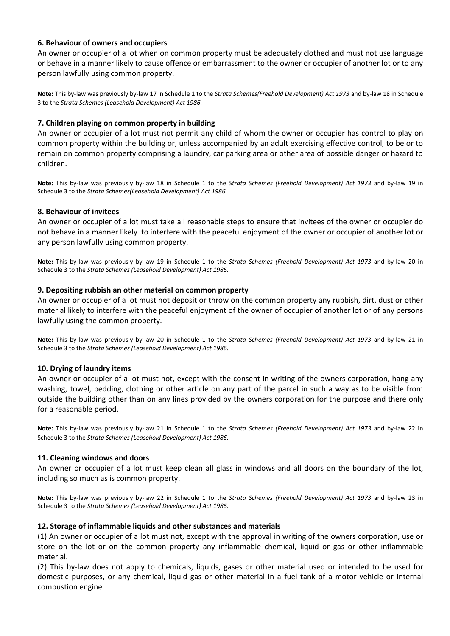## **6. Behaviour of owners and occupiers**

An owner or occupier of a lot when on common property must be adequately clothed and must not use language or behave in a manner likely to cause offence or embarrassment to the owner or occupier of another lot or to any person lawfully using common property.

**Note:** This by-law was previously by-law 17 in Schedule 1 to the *Strata Schemes(Freehold Development) Act 1973* and by-law 18 in Schedule 3 to the *Strata Schemes (Leasehold Development) Act 1986.*

## **7. Children playing on common property in building**

An owner or occupier of a lot must not permit any child of whom the owner or occupier has control to play on common property within the building or, unless accompanied by an adult exercising effective control, to be or to remain on common property comprising a laundry, car parking area or other area of possible danger or hazard to children.

**Note:** This by-law was previously by-law 18 in Schedule 1 to the *Strata Schemes (Freehold Development) Act 1973* and by-law 19 in Schedule 3 to the *Strata Schemes(Leasehold Development) Act 1986.*

## **8. Behaviour of invitees**

An owner or occupier of a lot must take all reasonable steps to ensure that invitees of the owner or occupier do not behave in a manner likely to interfere with the peaceful enjoyment of the owner or occupier of another lot or any person lawfully using common property.

**Note:** This by-law was previously by-law 19 in Schedule 1 to the *Strata Schemes (Freehold Development) Act 1973* and by-law 20 in Schedule 3 to the *Strata Schemes (Leasehold Development) Act 1986.*

#### **9. Depositing rubbish an other material on common property**

An owner or occupier of a lot must not deposit or throw on the common property any rubbish, dirt, dust or other material likely to interfere with the peaceful enjoyment of the owner of occupier of another lot or of any persons lawfully using the common property.

**Note:** This by-law was previously by-law 20 in Schedule 1 to the *Strata Schemes (Freehold Development) Act 1973* and by-law 21 in Schedule 3 to the *Strata Schemes (Leasehold Development) Act 1986.*

#### **10. Drying of laundry items**

An owner or occupier of a lot must not, except with the consent in writing of the owners corporation, hang any washing, towel, bedding, clothing or other article on any part of the parcel in such a way as to be visible from outside the building other than on any lines provided by the owners corporation for the purpose and there only for a reasonable period.

**Note:** This by-law was previously by-law 21 in Schedule 1 to the *Strata Schemes (Freehold Development) Act 1973* and by-law 22 in Schedule 3 to the *Strata Schemes (Leasehold Development) Act 1986.*

#### **11. Cleaning windows and doors**

An owner or occupier of a lot must keep clean all glass in windows and all doors on the boundary of the lot, including so much as is common property.

**Note:** This by-law was previously by-law 22 in Schedule 1 to the *Strata Schemes (Freehold Development) Act 1973* and by-law 23 in Schedule 3 to the *Strata Schemes (Leasehold Development) Act 1986.*

#### **12. Storage of inflammable liquids and other substances and materials**

(1) An owner or occupier of a lot must not, except with the approval in writing of the owners corporation, use or store on the lot or on the common property any inflammable chemical, liquid or gas or other inflammable material.

(2) This by-law does not apply to chemicals, liquids, gases or other material used or intended to be used for domestic purposes, or any chemical, liquid gas or other material in a fuel tank of a motor vehicle or internal combustion engine.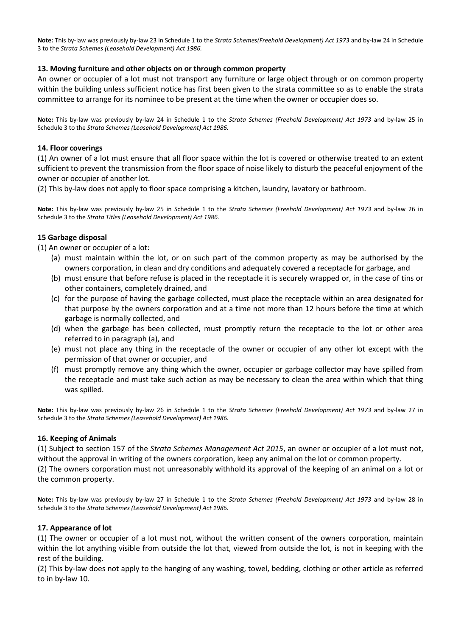**Note:** This by-law was previously by-law 23 in Schedule 1 to the *Strata Schemes(Freehold Development) Act 1973* and by-law 24 in Schedule 3 to the *Strata Schemes (Leasehold Development) Act 1986.*

# **13. Moving furniture and other objects on or through common property**

An owner or occupier of a lot must not transport any furniture or large object through or on common property within the building unless sufficient notice has first been given to the strata committee so as to enable the strata committee to arrange for its nominee to be present at the time when the owner or occupier does so.

**Note:** This by-law was previously by-law 24 in Schedule 1 to the *Strata Schemes (Freehold Development) Act 1973* and by-law 25 in Schedule 3 to the *Strata Schemes (Leasehold Development) Act 1986.*

# **14. Floor coverings**

(1) An owner of a lot must ensure that all floor space within the lot is covered or otherwise treated to an extent sufficient to prevent the transmission from the floor space of noise likely to disturb the peaceful enjoyment of the owner or occupier of another lot.

(2) This by-law does not apply to floor space comprising a kitchen, laundry, lavatory or bathroom.

**Note:** This by-law was previously by-law 25 in Schedule 1 to the *Strata Schemes (Freehold Development) Act 1973* and by-law 26 in Schedule 3 to the *Strata Titles (Leasehold Development) Act 1986.*

# **15 Garbage disposal**

(1) An owner or occupier of a lot:

- (a) must maintain within the lot, or on such part of the common property as may be authorised by the owners corporation, in clean and dry conditions and adequately covered a receptacle for garbage, and
- (b) must ensure that before refuse is placed in the receptacle it is securely wrapped or, in the case of tins or other containers, completely drained, and
- (c) for the purpose of having the garbage collected, must place the receptacle within an area designated for that purpose by the owners corporation and at a time not more than 12 hours before the time at which garbage is normally collected, and
- (d) when the garbage has been collected, must promptly return the receptacle to the lot or other area referred to in paragraph (a), and
- (e) must not place any thing in the receptacle of the owner or occupier of any other lot except with the permission of that owner or occupier, and
- (f) must promptly remove any thing which the owner, occupier or garbage collector may have spilled from the receptacle and must take such action as may be necessary to clean the area within which that thing was spilled.

**Note:** This by-law was previously by-law 26 in Schedule 1 to the *Strata Schemes (Freehold Development) Act 1973* and by-law 27 in Schedule 3 to the *Strata Schemes (Leasehold Development) Act 1986.*

# **16. Keeping of Animals**

(1) Subject to section 157 of the *Strata Schemes Management Act 2015*, an owner or occupier of a lot must not, without the approval in writing of the owners corporation, keep any animal on the lot or common property.

(2) The owners corporation must not unreasonably withhold its approval of the keeping of an animal on a lot or the common property.

**Note:** This by-law was previously by-law 27 in Schedule 1 to the *Strata Schemes (Freehold Development) Act 1973* and by-law 28 in Schedule 3 to the *Strata Schemes (Leasehold Development) Act 1986.*

# **17. Appearance of lot**

(1) The owner or occupier of a lot must not, without the written consent of the owners corporation, maintain within the lot anything visible from outside the lot that, viewed from outside the lot, is not in keeping with the rest of the building.

(2) This by-law does not apply to the hanging of any washing, towel, bedding, clothing or other article as referred to in by-law 10.